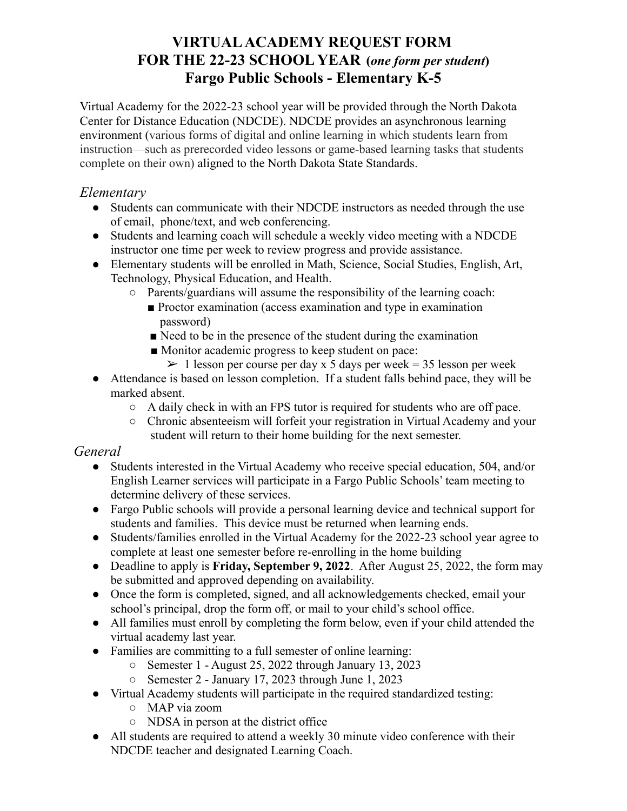# **FOR THE 22-23 SCHOOL YEAR (***one form per student***) VIRTUALACADEMY REQUEST FORM Fargo Public Schools - Elementary K-5**

 Virtual Academy for the 2022-23 school year will be provided through the North Dakota Center for Distance Education (NDCDE). NDCDE provides an asynchronous learning environment (various forms of digital and online learning in which students learn from instruction—such as prerecorded video lessons or game-based learning tasks that students complete on their own) aligned to the North Dakota State Standards.

## *Elementary*

- ● Students can communicate with their NDCDE instructors as needed through the use of email, phone/text, and web conferencing.
- ● Students and learning coach will schedule a weekly video meeting with a NDCDE instructor one time per week to review progress and provide assistance.
- ● Elementary students will be enrolled in Math, Science, Social Studies, English, Art, Technology, Physical Education, and Health.
	- ○ Parents/guardians will assume the responsibility of the learning coach:
		- Proctor examination (access examination and type in examination password)
		- Need to be in the presence of the student during the examination
		- Monitor academic progress to keep student on pace:
			- $> 1$  lesson per course per day x 5 days per week = 35 lesson per week
- Attendance is based on lesson completion. If a student falls behind pace, they will be marked absent.
	- A daily check in with an FPS tutor is required for students who are off pace.
	- Chronic absenteeism will forfeit your registration in Virtual Academy and your student will return to their home building for the next semester.

# *General*

- ● Students interested in the Virtual Academy who receive special education, 504, and/or English Learner services will participate in a Fargo Public Schools' team meeting to determine delivery of these services.
- ● Fargo Public schools will provide a personal learning device and technical support for students and families. This device must be returned when learning ends.
- ● Students/families enrolled in the Virtual Academy for the 2022-23 school year agree to complete at least one semester before re-enrolling in the home building
- ● Deadline to apply is **Friday, September 9, 2022**. After August 25, 2022, the form may be submitted and approved depending on availability.
- ● Once the form is completed, signed, and all acknowledgements checked, email your school's principal, drop the form off, or mail to your child's school office.
- All families must enroll by completing the form below, even if your child attended the virtual academy last year.
- Families are committing to a full semester of online learning:
	- Semester 1 August 25, 2022 through January 13, 2023
	- Semester 2 January 17, 2023 through June 1, 2023
- Virtual Academy students will participate in the required standardized testing:
	- MAP via zoom
	- NDSA in person at the district office
- All students are required to attend a weekly 30 minute video conference with their NDCDE teacher and designated Learning Coach.